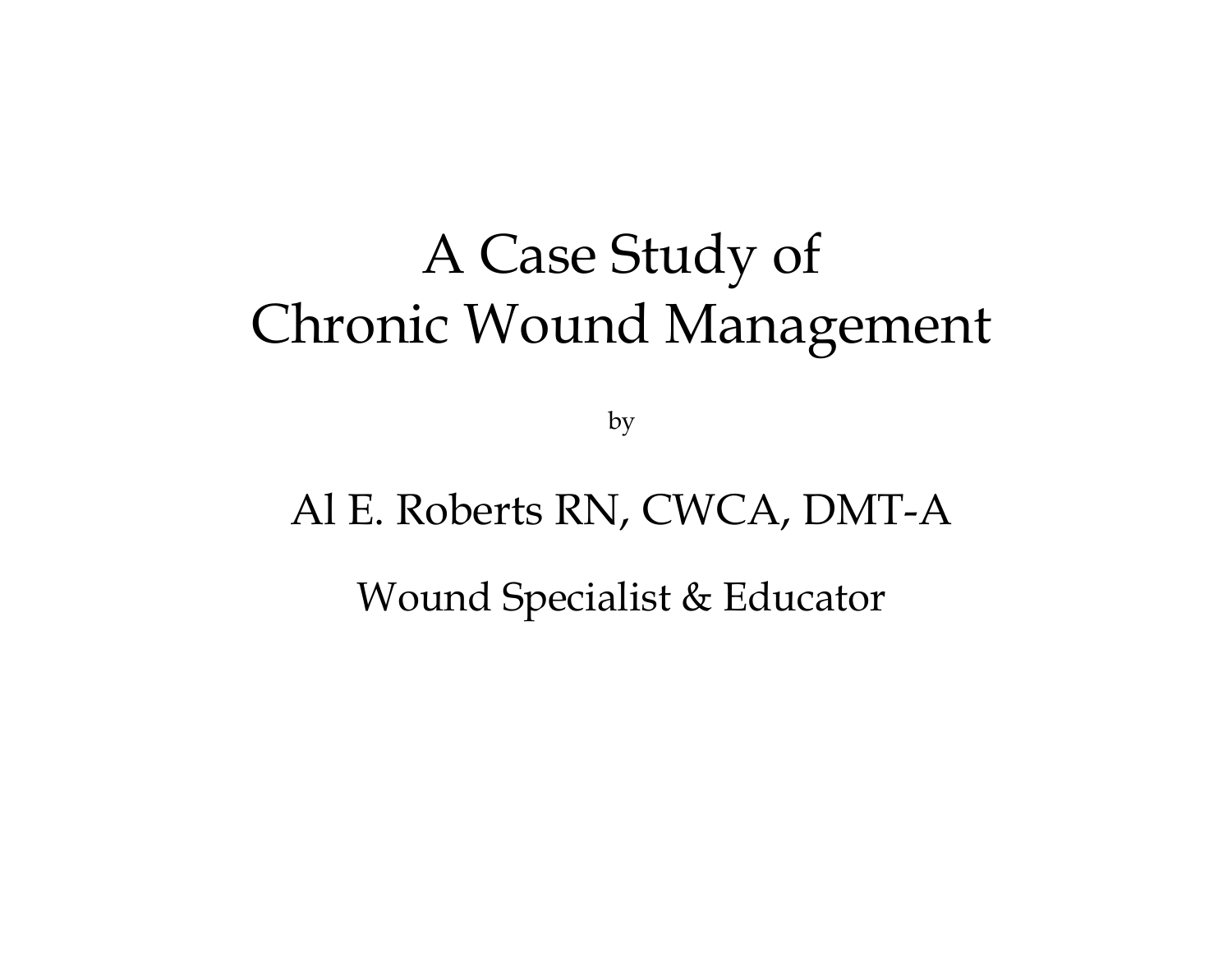## A Case Study of Chronic Wound Management

by

### Al E. Roberts RN, CWCA, DMT-A

Wound Specialist & Educator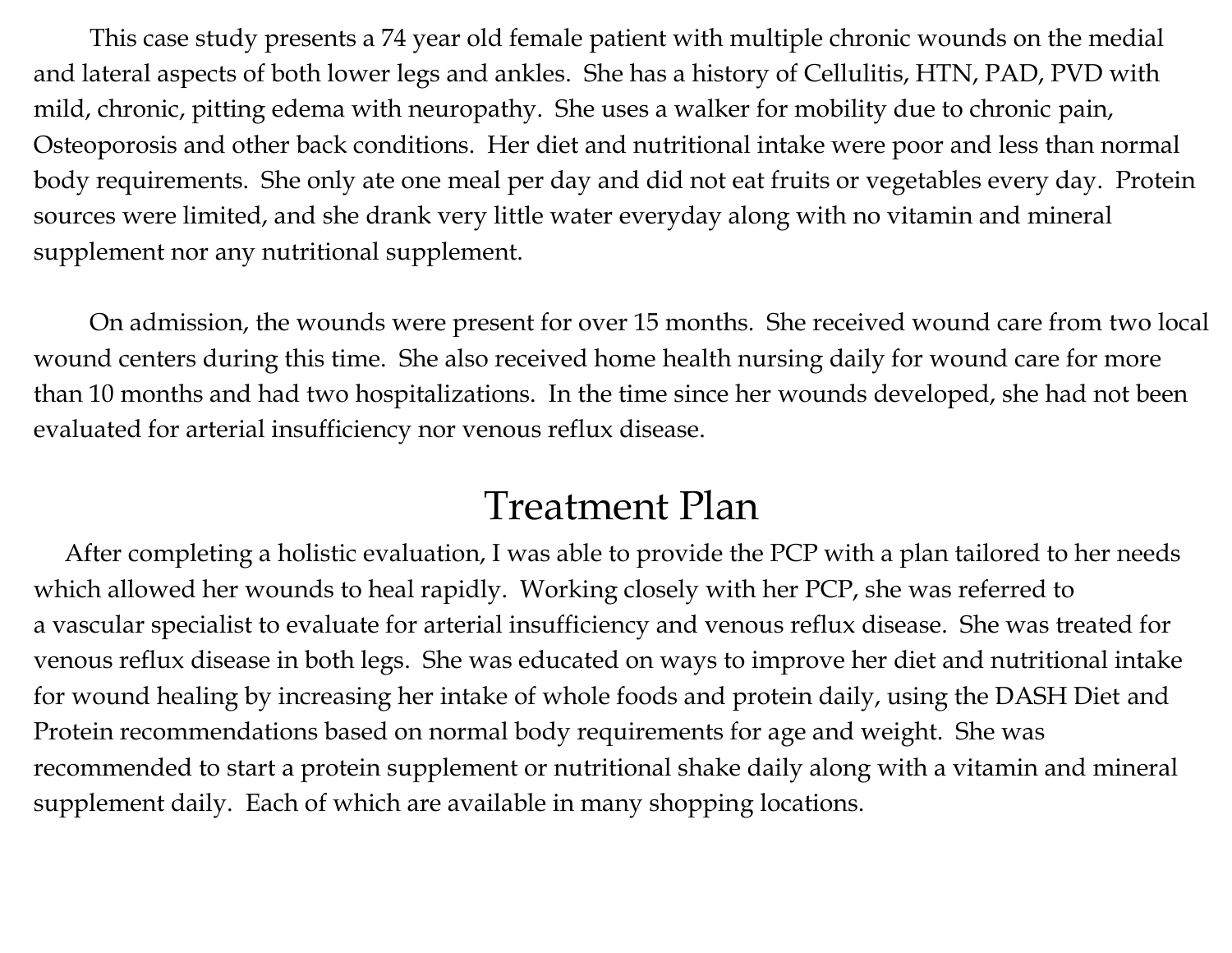This case study presents a 74 year old female patient with multiple chronic wounds on the medial and lateral aspects of both lower legs and ankles. She has a history of Cellulitis, HTN, PAD, PVD with mild, chronic, pitting edema with neuropathy. She uses a walker for mobility due to chronic pain, Osteoporosis and other back conditions. Her diet and nutritional intake were poor and less than normal body requirements. She only ate one meal per day and did not eat fruits or vegetables every day. Protein sources were limited, and she drank very little water everyday along with no vitamin and mineral supplement nor any nutritional supplement.

On admission, the wounds were present for over 15 months. She received wound care from two local wound centers during this time. She also received home health nursing daily for wound care for more than 10 months and had two hospitalizations. In the time since her wounds developed, she had not been evaluated for arterial insufficiency nor venous reflux disease.

#### Treatment Plan

 After completing a holistic evaluation, I was able to provide the PCP with a plan tailored to her needs which allowed her wounds to heal rapidly. Working closely with her PCP, she was referred to a vascular specialist to evaluate for arterial insufficiency and venous reflux disease. She was treated for venous reflux disease in both legs. She was educated on ways to improve her diet and nutritional intake for wound healing by increasing her intake of whole foods and protein daily, using the DASH Diet and Protein recommendations based on normal body requirements for age and weight. She was recommended to start a protein supplement or nutritional shake daily along with a vitamin and mineral supplement daily. Each of which are available in many shopping locations.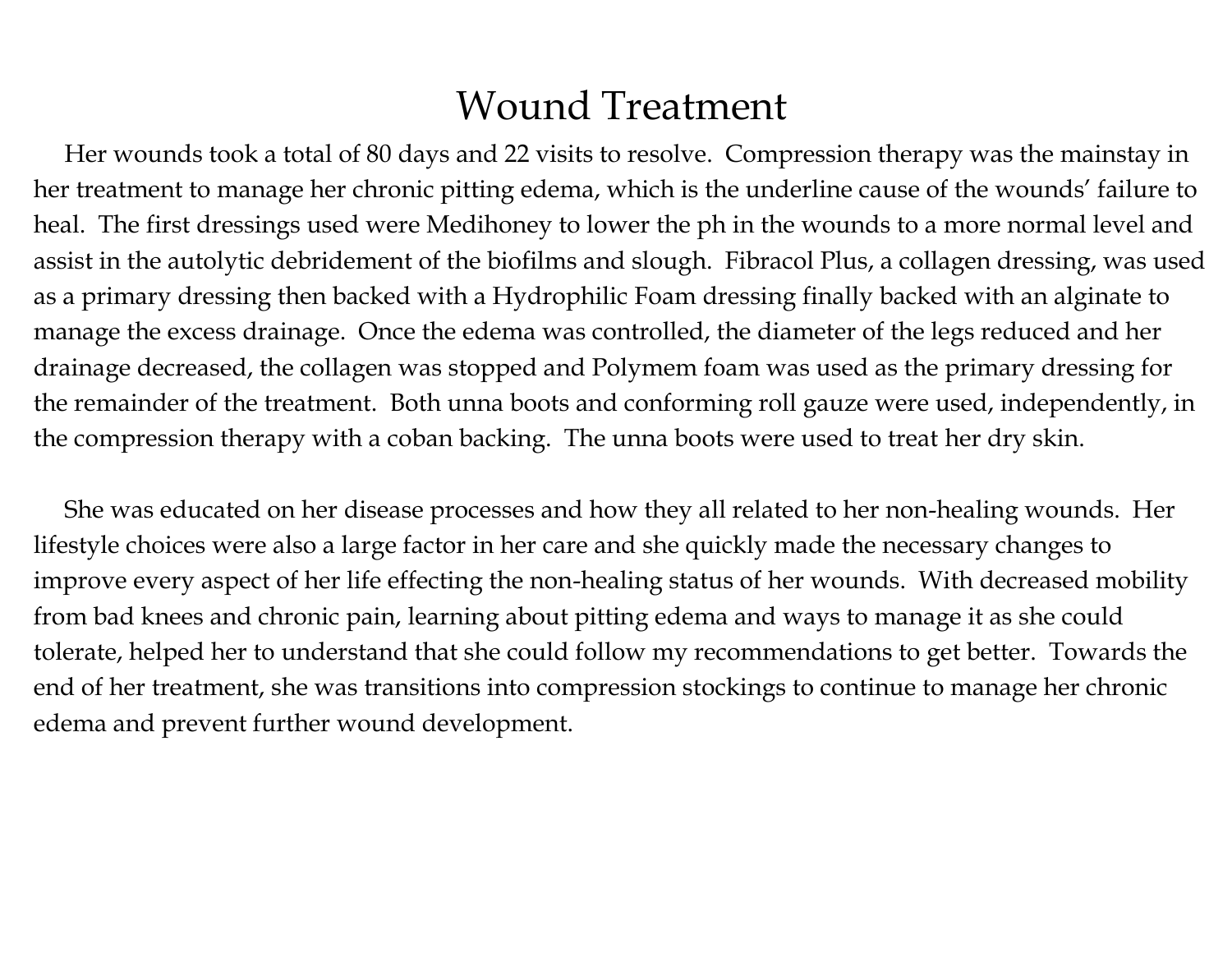#### Wound Treatment

 Her wounds took a total of 80 days and 22 visits to resolve. Compression therapy was the mainstay in her treatment to manage her chronic pitting edema, which is the underline cause of the wounds' failure to heal. The first dressings used were Medihoney to lower the ph in the wounds to a more normal level and assist in the autolytic debridement of the biofilms and slough. Fibracol Plus, a collagen dressing, was used as a primary dressing then backed with a Hydrophilic Foam dressing finally backed with an alginate to manage the excess drainage. Once the edema was controlled, the diameter of the legs reduced and her drainage decreased, the collagen was stopped and Polymem foam was used as the primary dressing for the remainder of the treatment. Both unna boots and conforming roll gauze were used, independently, in the compression therapy with a coban backing. The unna boots were used to treat her dry skin.

 She was educated on her disease processes and how they all related to her non-healing wounds. Her lifestyle choices were also a large factor in her care and she quickly made the necessary changes to improve every aspect of her life effecting the non-healing status of her wounds. With decreased mobility from bad knees and chronic pain, learning about pitting edema and ways to manage it as she could tolerate, helped her to understand that she could follow my recommendations to get better. Towards the end of her treatment, she was transitions into compression stockings to continue to manage her chronic edema and prevent further wound development.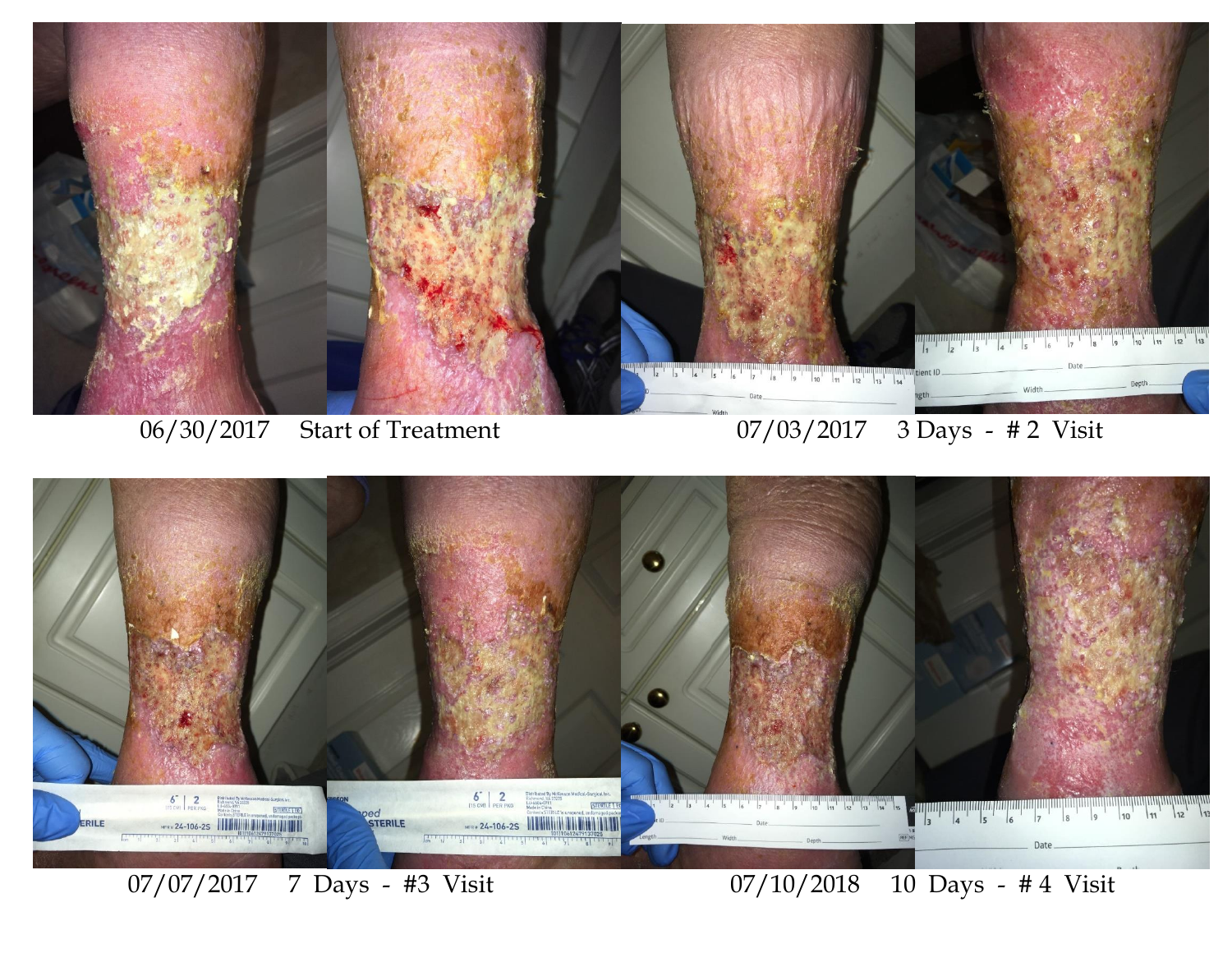

06/30/2017 Start of Treatment 07/03/2017 3 Days - # 2 Visit



07/07/2017 7 Days - #3 Visit 07/10/2018 10 Days - # 4 Visit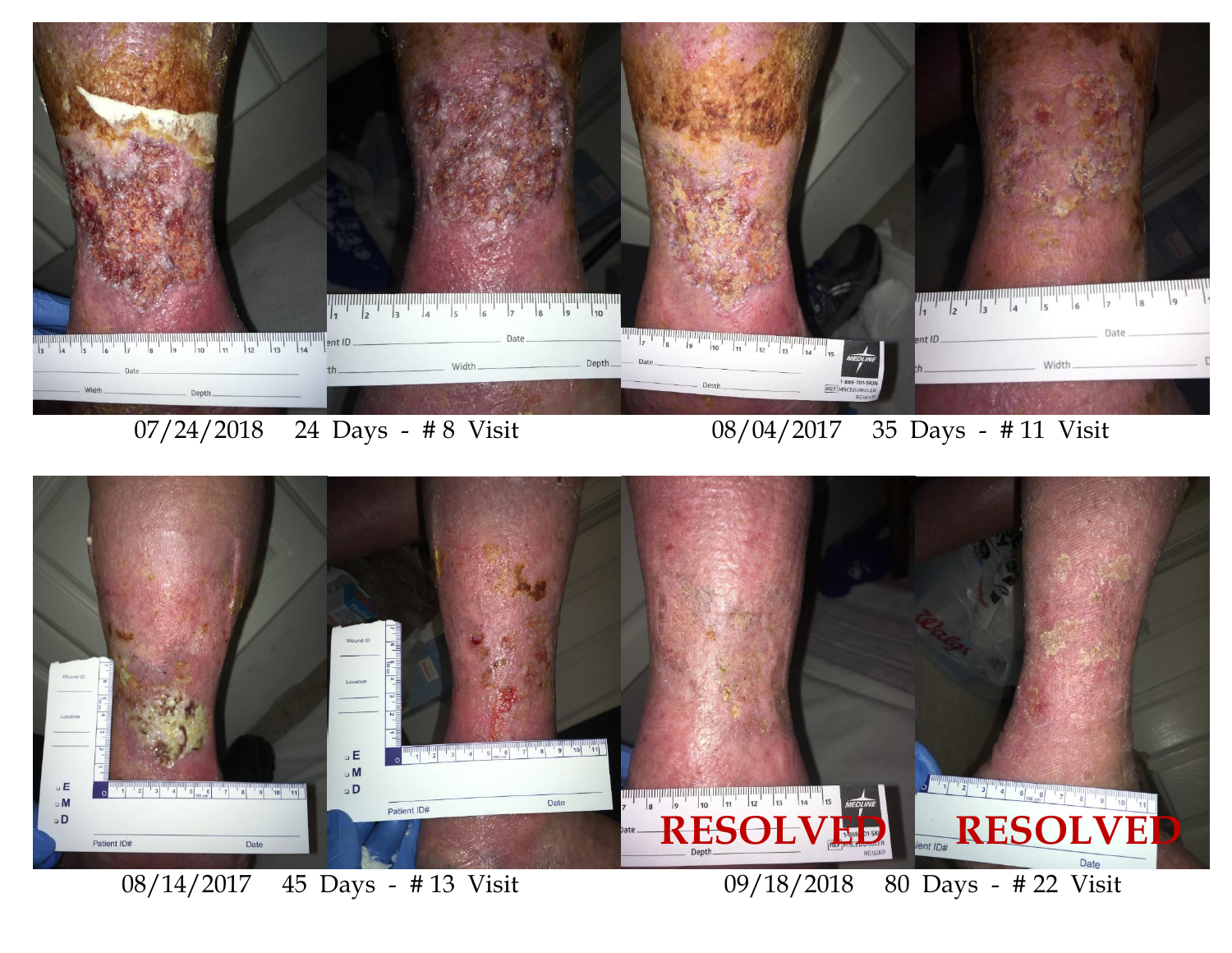

07/24/2018 24 Days - # 8 Visit 08/04/2017 35 Days - # 11 Visit